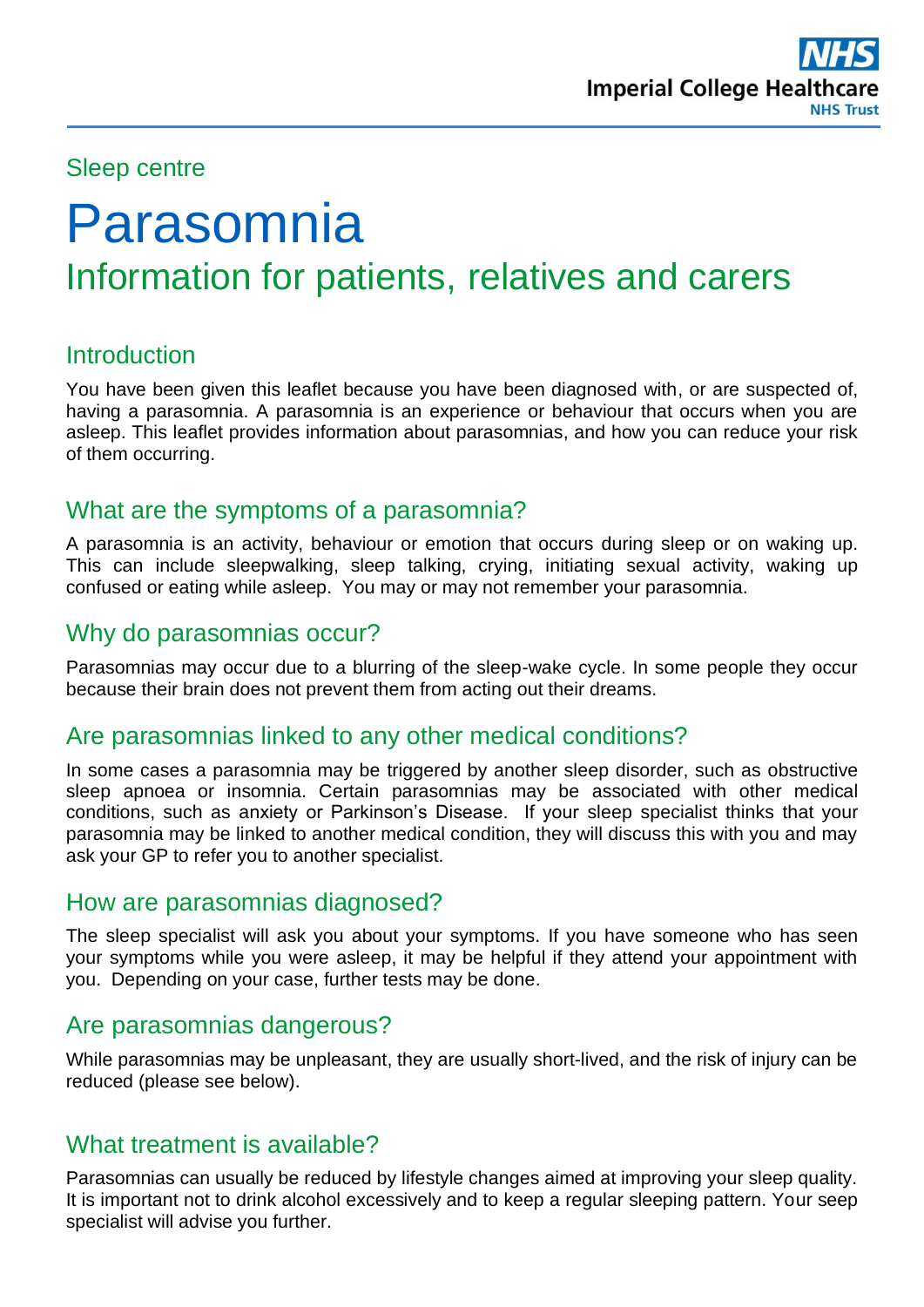## Sleep centre

# Parasomnia Information for patients, relatives and carers

## **Introduction**

You have been given this leaflet because you have been diagnosed with, or are suspected of, having a parasomnia. A parasomnia is an experience or behaviour that occurs when you are asleep. This leaflet provides information about parasomnias, and how you can reduce your risk of them occurring.

## What are the symptoms of a parasomnia?

A parasomnia is an activity, behaviour or emotion that occurs during sleep or on waking up. This can include sleepwalking, sleep talking, crying, initiating sexual activity, waking up confused or eating while asleep. You may or may not remember your parasomnia.

#### Why do parasomnias occur?

Parasomnias may occur due to a blurring of the sleep-wake cycle. In some people they occur because their brain does not prevent them from acting out their dreams.

#### Are parasomnias linked to any other medical conditions?

In some cases a parasomnia may be triggered by another sleep disorder, such as obstructive sleep apnoea or insomnia. Certain parasomnias may be associated with other medical conditions, such as anxiety or Parkinson's Disease. If your sleep specialist thinks that your parasomnia may be linked to another medical condition, they will discuss this with you and may ask your GP to refer you to another specialist.

#### How are parasomnias diagnosed?

The sleep specialist will ask you about your symptoms. If you have someone who has seen your symptoms while you were asleep, it may be helpful if they attend your appointment with you. Depending on your case, further tests may be done.

#### Are parasomnias dangerous?

While parasomnias may be unpleasant, they are usually short-lived, and the risk of injury can be reduced (please see below).

## What treatment is available?

Parasomnias can usually be reduced by lifestyle changes aimed at improving your sleep quality. It is important not to drink alcohol excessively and to keep a regular sleeping pattern. Your seep specialist will advise you further.